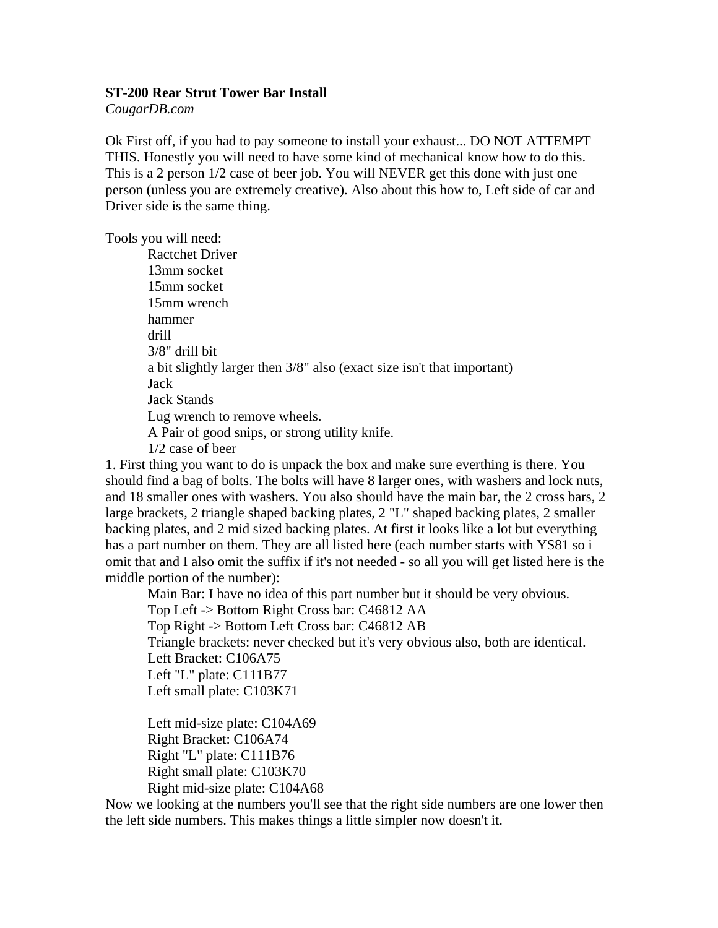## **ST-200 Rear Strut Tower Bar Install**

*CougarDB.com*

Ok First off, if you had to pay someone to install your exhaust... DO NOT ATTEMPT THIS. Honestly you will need to have some kind of mechanical know how to do this. This is a 2 person 1/2 case of beer job. You will NEVER get this done with just one person (unless you are extremely creative). Also about this how to, Left side of car and Driver side is the same thing.

Tools you will need:

Ractchet Driver 13mm socket 15mm socket 15mm wrench hammer drill 3/8" drill bit a bit slightly larger then 3/8" also (exact size isn't that important) Jack Jack Stands Lug wrench to remove wheels. A Pair of good snips, or strong utility knife. 1/2 case of beer

1. First thing you want to do is unpack the box and make sure everthing is there. You should find a bag of bolts. The bolts will have 8 larger ones, with washers and lock nuts, and 18 smaller ones with washers. You also should have the main bar, the 2 cross bars, 2 large brackets, 2 triangle shaped backing plates, 2 "L" shaped backing plates, 2 smaller backing plates, and 2 mid sized backing plates. At first it looks like a lot but everything has a part number on them. They are all listed here (each number starts with YS81 so i omit that and I also omit the suffix if it's not needed - so all you will get listed here is the middle portion of the number):

Main Bar: I have no idea of this part number but it should be very obvious. Top Left -> Bottom Right Cross bar: C46812 AA Top Right -> Bottom Left Cross bar: C46812 AB Triangle brackets: never checked but it's very obvious also, both are identical. Left Bracket: C106A75 Left "L" plate: C111B77 Left small plate: C103K71

Left mid-size plate: C104A69 Right Bracket: C106A74 Right "L" plate: C111B76 Right small plate: C103K70 Right mid-size plate: C104A68

Now we looking at the numbers you'll see that the right side numbers are one lower then the left side numbers. This makes things a little simpler now doesn't it.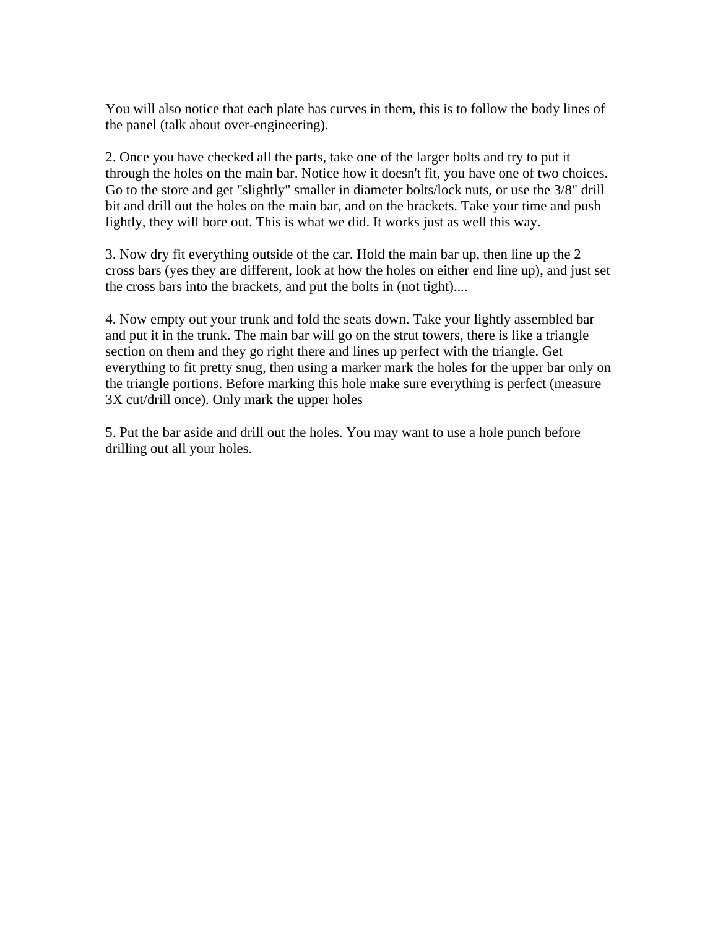You will also notice that each plate has curves in them, this is to follow the body lines of the panel (talk about over-engineering).

2. Once you have checked all the parts, take one of the larger bolts and try to put it through the holes on the main bar. Notice how it doesn't fit, you have one of two choices. Go to the store and get "slightly" smaller in diameter bolts/lock nuts, or use the 3/8" drill bit and drill out the holes on the main bar, and on the brackets. Take your time and push lightly, they will bore out. This is what we did. It works just as well this way.

3. Now dry fit everything outside of the car. Hold the main bar up, then line up the 2 cross bars (yes they are different, look at how the holes on either end line up), and just set the cross bars into the brackets, and put the bolts in (not tight)....

4. Now empty out your trunk and fold the seats down. Take your lightly assembled bar and put it in the trunk. The main bar will go on the strut towers, there is like a triangle section on them and they go right there and lines up perfect with the triangle. Get everything to fit pretty snug, then using a marker mark the holes for the upper bar only on the triangle portions. Before marking this hole make sure everything is perfect (measure 3X cut/drill once). Only mark the upper holes

5. Put the bar aside and drill out the holes. You may want to use a hole punch before drilling out all your holes.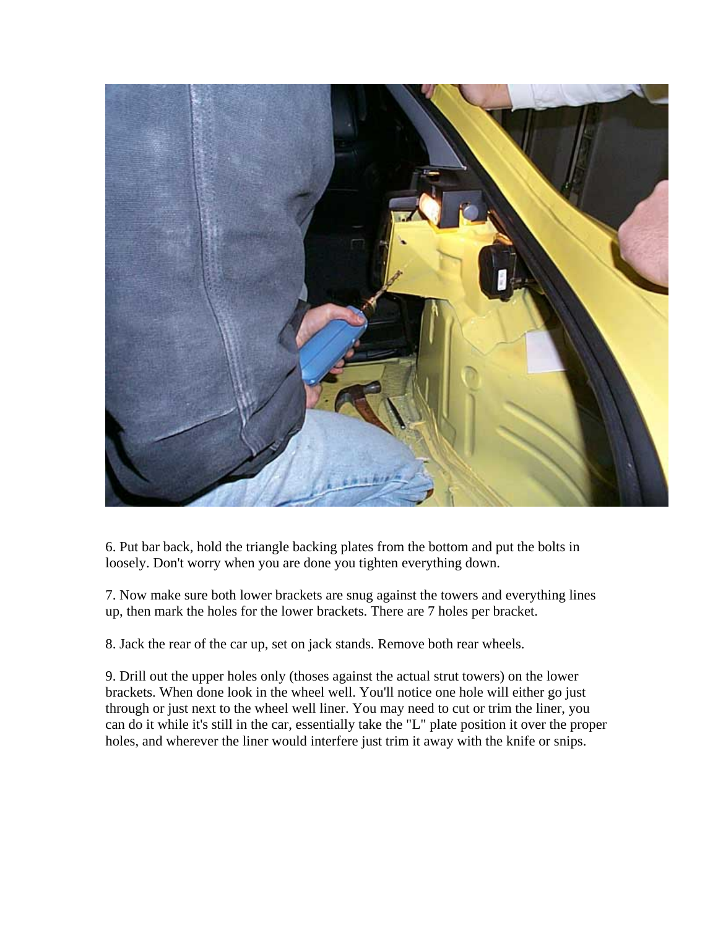

6. Put bar back, hold the triangle backing plates from the bottom and put the bolts in loosely. Don't worry when you are done you tighten everything down.

7. Now make sure both lower brackets are snug against the towers and everything lines up, then mark the holes for the lower brackets. There are 7 holes per bracket.

8. Jack the rear of the car up, set on jack stands. Remove both rear wheels.

9. Drill out the upper holes only (thoses against the actual strut towers) on the lower brackets. When done look in the wheel well. You'll notice one hole will either go just through or just next to the wheel well liner. You may need to cut or trim the liner, you can do it while it's still in the car, essentially take the "L" plate position it over the proper holes, and wherever the liner would interfere just trim it away with the knife or snips.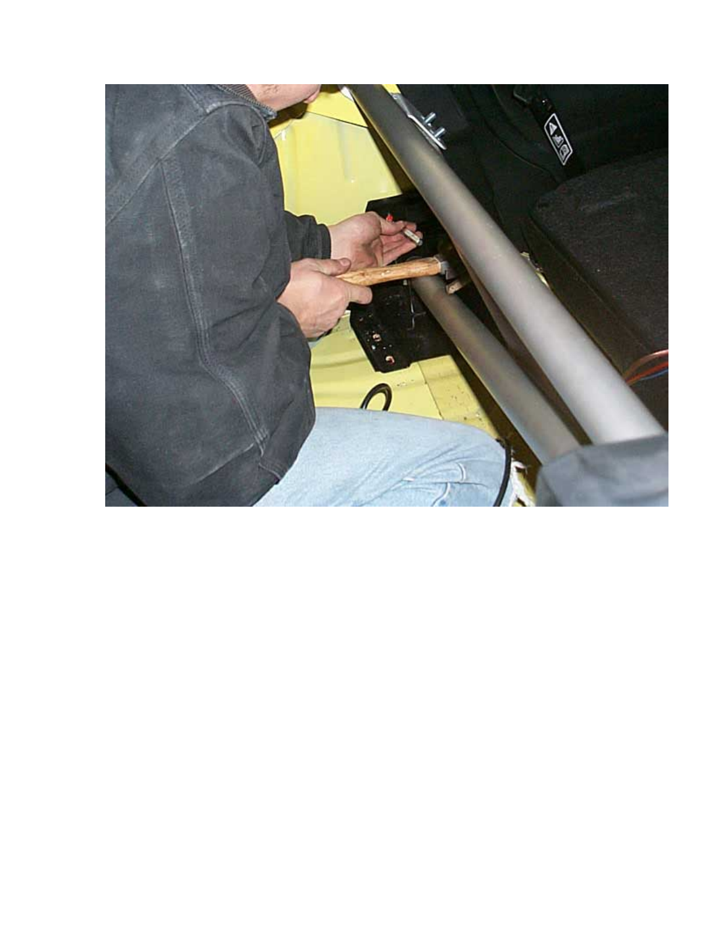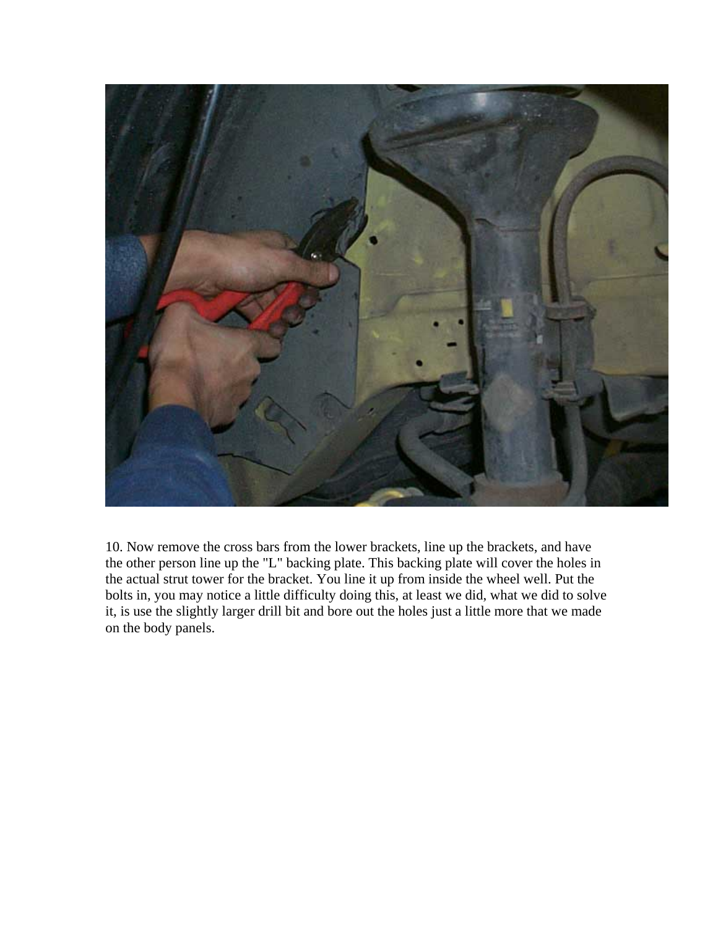

10. Now remove the cross bars from the lower brackets, line up the brackets, and have the other person line up the "L" backing plate. This backing plate will cover the holes in the actual strut tower for the bracket. You line it up from inside the wheel well. Put the bolts in, you may notice a little difficulty doing this, at least we did, what we did to solve it, is use the slightly larger drill bit and bore out the holes just a little more that we made on the body panels.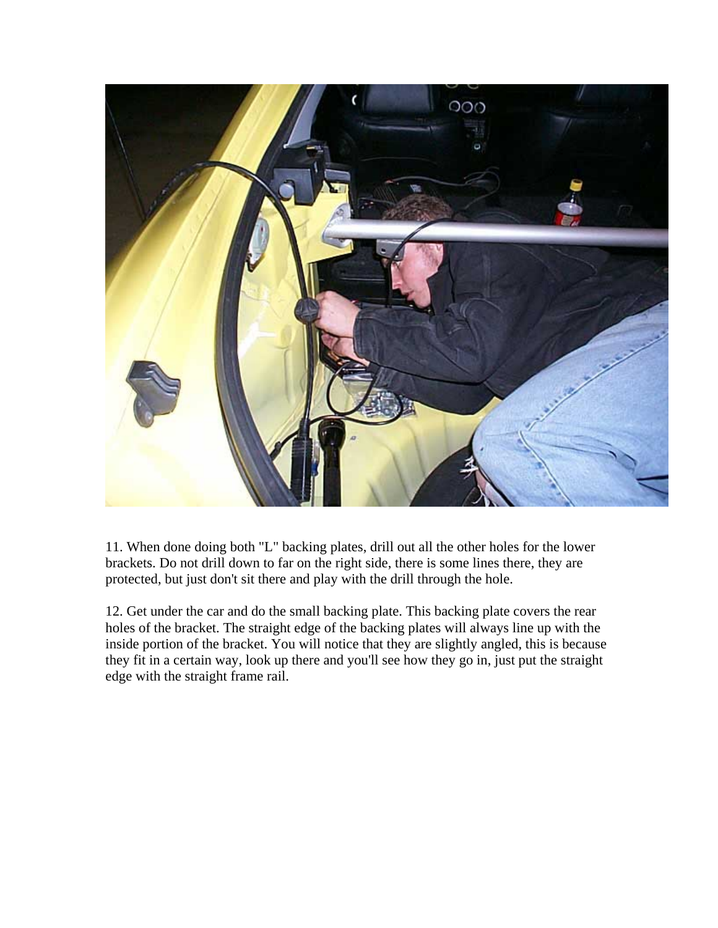

11. When done doing both "L" backing plates, drill out all the other holes for the lower brackets. Do not drill down to far on the right side, there is some lines there, they are protected, but just don't sit there and play with the drill through the hole.

12. Get under the car and do the small backing plate. This backing plate covers the rear holes of the bracket. The straight edge of the backing plates will always line up with the inside portion of the bracket. You will notice that they are slightly angled, this is because they fit in a certain way, look up there and you'll see how they go in, just put the straight edge with the straight frame rail.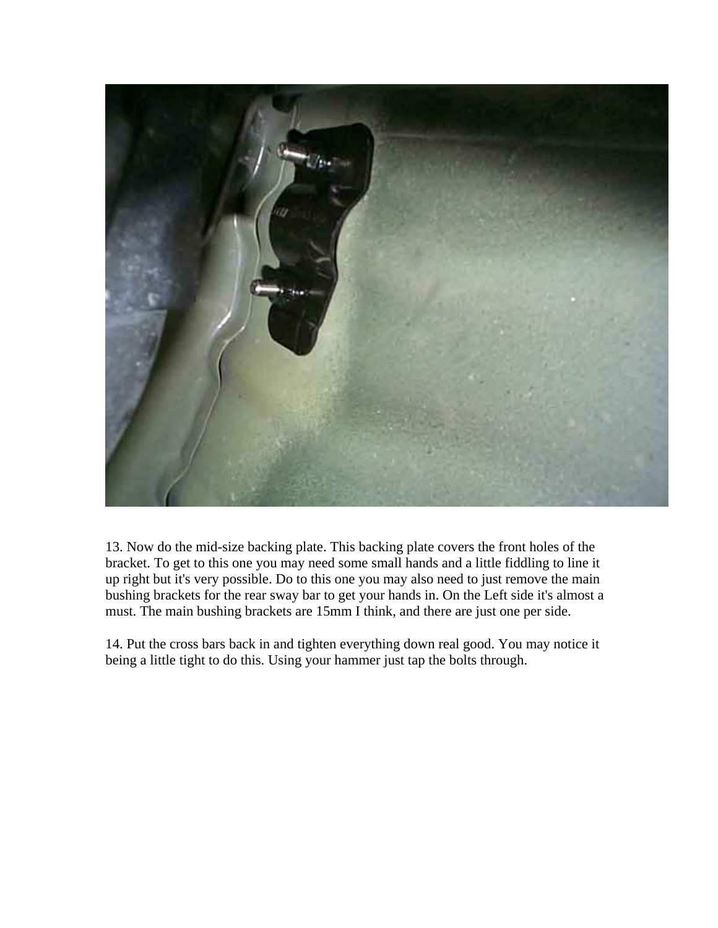

13. Now do the mid-size backing plate. This backing plate covers the front holes of the bracket. To get to this one you may need some small hands and a little fiddling to line it up right but it's very possible. Do to this one you may also need to just remove the main bushing brackets for the rear sway bar to get your hands in. On the Left side it's almost a must. The main bushing brackets are 15mm I think, and there are just one per side.

14. Put the cross bars back in and tighten everything down real good. You may notice it being a little tight to do this. Using your hammer just tap the bolts through.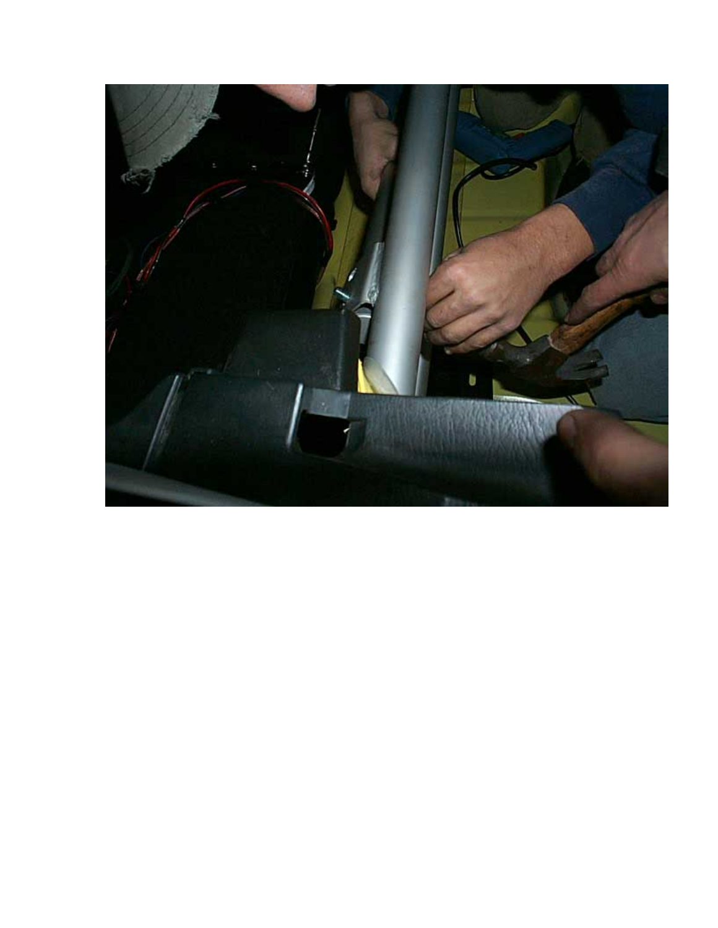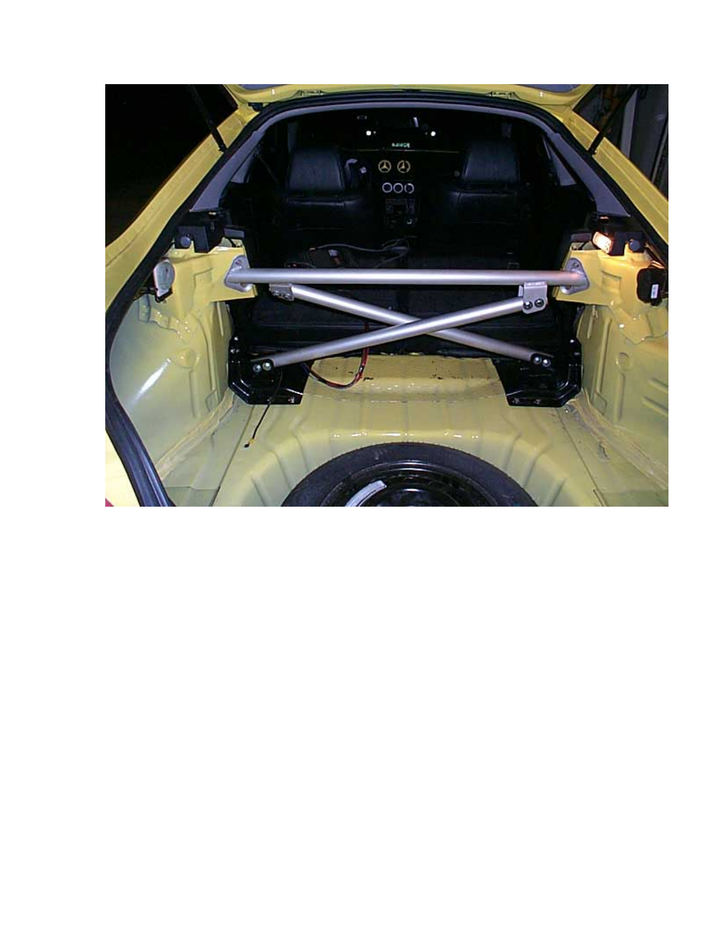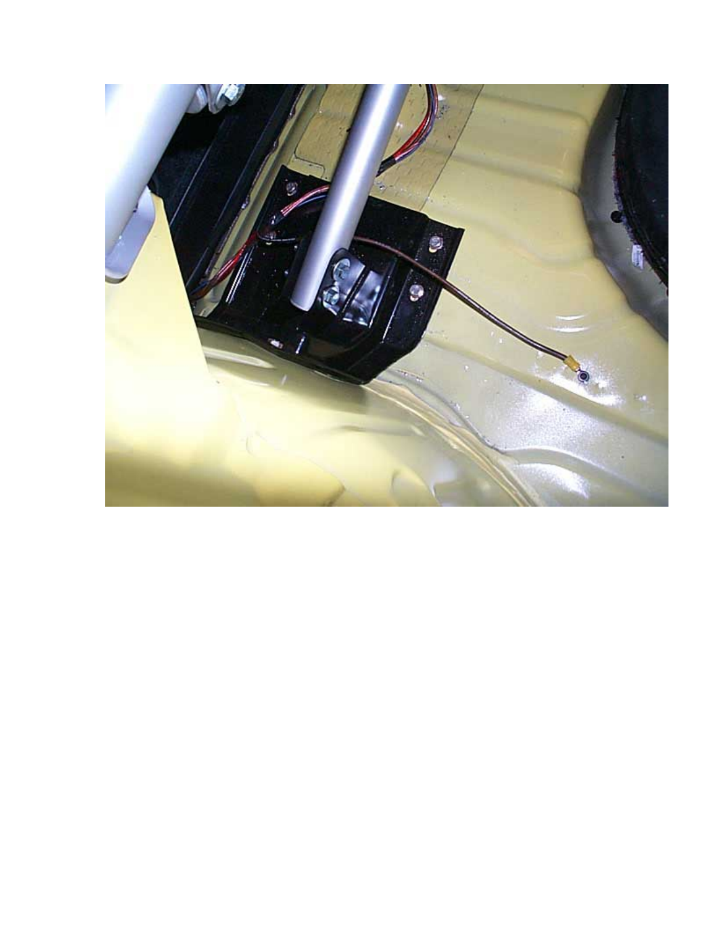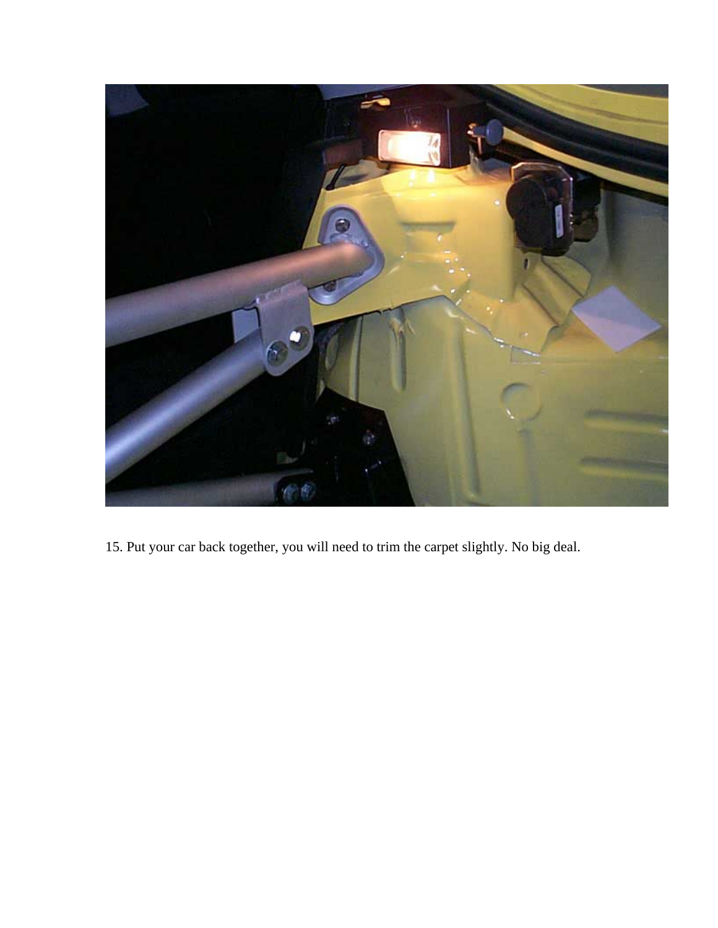

15. Put your car back together, you will need to trim the carpet slightly. No big deal.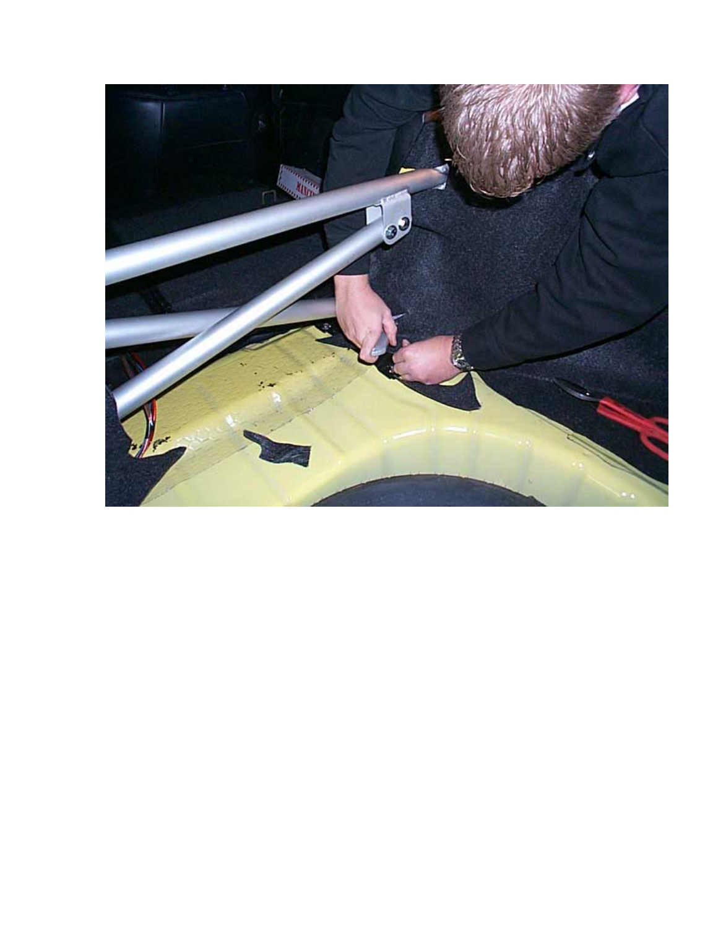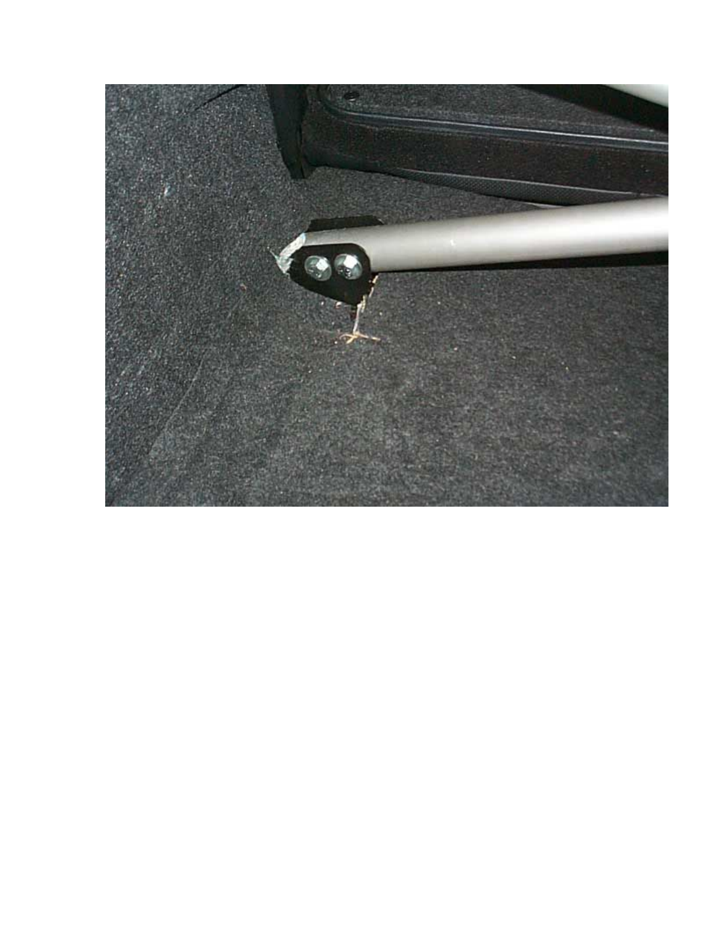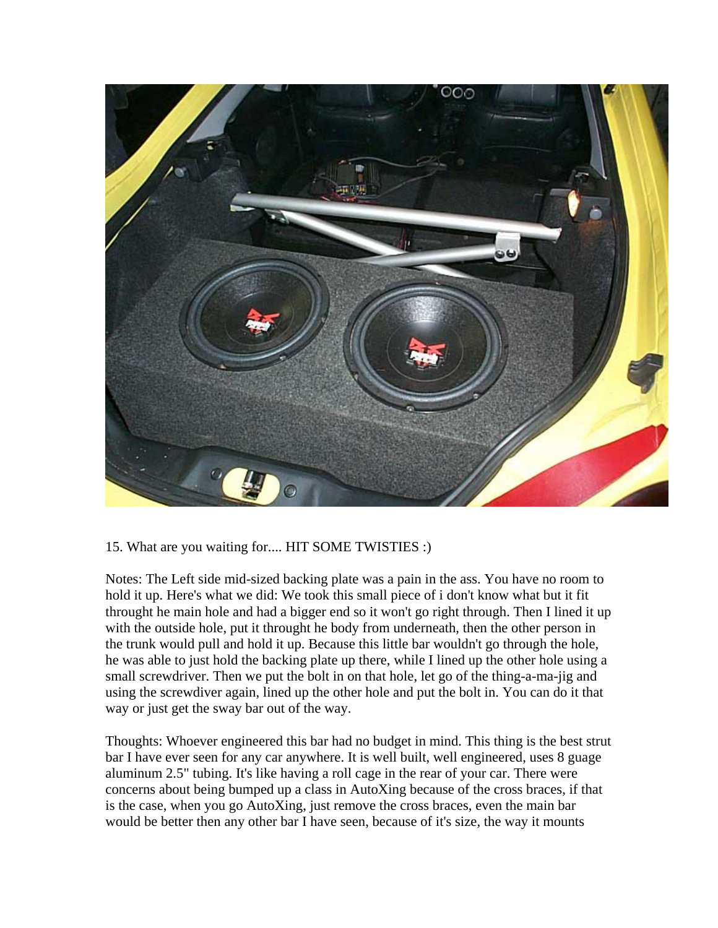

15. What are you waiting for.... HIT SOME TWISTIES :)

Notes: The Left side mid-sized backing plate was a pain in the ass. You have no room to hold it up. Here's what we did: We took this small piece of i don't know what but it fit throught he main hole and had a bigger end so it won't go right through. Then I lined it up with the outside hole, put it throught he body from underneath, then the other person in the trunk would pull and hold it up. Because this little bar wouldn't go through the hole, he was able to just hold the backing plate up there, while I lined up the other hole using a small screwdriver. Then we put the bolt in on that hole, let go of the thing-a-ma-jig and using the screwdiver again, lined up the other hole and put the bolt in. You can do it that way or just get the sway bar out of the way.

Thoughts: Whoever engineered this bar had no budget in mind. This thing is the best strut bar I have ever seen for any car anywhere. It is well built, well engineered, uses 8 guage aluminum 2.5" tubing. It's like having a roll cage in the rear of your car. There were concerns about being bumped up a class in AutoXing because of the cross braces, if that is the case, when you go AutoXing, just remove the cross braces, even the main bar would be better then any other bar I have seen, because of it's size, the way it mounts